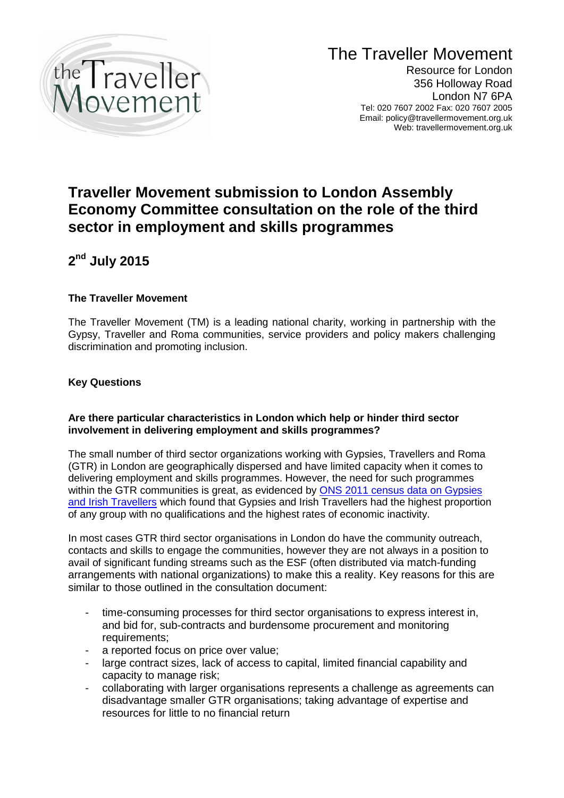

# The Traveller Movement

Resource for London 356 Holloway Road London N7 6PA Tel: 020 7607 2002 Fax: 020 7607 2005 Email: policy@travellermovement.org.uk Web: travellermovement.org.uk

# **Traveller Movement submission to London Assembly Economy Committee consultation on the role of the third sector in employment and skills programmes**

**2 nd July 2015**

# **The Traveller Movement**

The Traveller Movement (TM) is a leading national charity, working in partnership with the Gypsy, Traveller and Roma communities, service providers and policy makers challenging discrimination and promoting inclusion.

## **Key Questions**

### **Are there particular characteristics in London which help or hinder third sector involvement in delivering employment and skills programmes?**

The small number of third sector organizations working with Gypsies, Travellers and Roma (GTR) in London are geographically dispersed and have limited capacity when it comes to delivering employment and skills programmes. However, the need for such programmes within the GTR communities is great, as evidenced by **ONS 2011 census data on Gypsies** [and Irish Travellers](http://www.ons.gov.uk/ons/rel/census/2011-census-analysis/what-does-the-2011-census-tell-us-about-the-characteristics-of-gypsy-or-irish-travellers-in-england-and-wales-/sty-gypsy-or-irish-travellers.html) which found that Gypsies and Irish Travellers had the highest proportion of any group with no qualifications and the highest rates of economic inactivity.

In most cases GTR third sector organisations in London do have the community outreach, contacts and skills to engage the communities, however they are not always in a position to avail of significant funding streams such as the ESF (often distributed via match-funding arrangements with national organizations) to make this a reality. Key reasons for this are similar to those outlined in the consultation document:

- time-consuming processes for third sector organisations to express interest in, and bid for, sub-contracts and burdensome procurement and monitoring requirements;
- a reported focus on price over value;
- large contract sizes, lack of access to capital, limited financial capability and capacity to manage risk;
- collaborating with larger organisations represents a challenge as agreements can disadvantage smaller GTR organisations; taking advantage of expertise and resources for little to no financial return